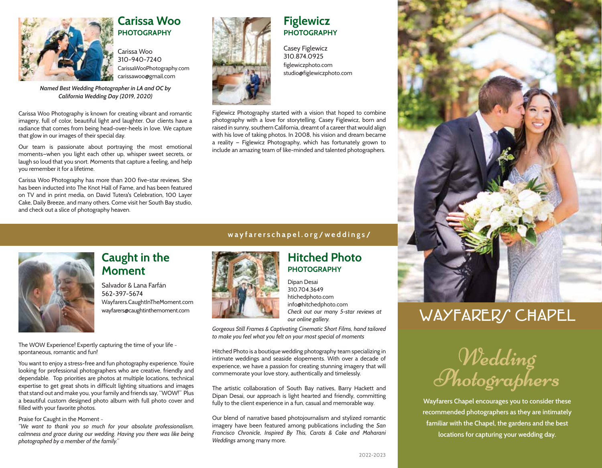

### **Carissa Woo PHOTOGRAPHY**

Carissa Woo 310-940-7240 CarissaWooPhotography.com carissawoo@gmail.com

*Named Best Wedding Photographer in LA and OC by California Wedding Day (2019, 2020)*

Carissa Woo Photography is known for creating vibrant and romantic imagery, full of color, beautiful light and laughter. Our clients have a radiance that comes from being head-over-heels in love. We capture that glow in our images of their special day.

Our team is passionate about portraying the most emotional moments—when you light each other up, whisper sweet secrets, or laugh so loud that you snort. Moments that capture a feeling, and help you remember it for a lifetime.

Carissa Woo Photography has more than 200 five-star reviews. She has been inducted into The Knot Hall of Fame, and has been featured on TV and in print media, on David Tutera's Celebration, 100 Layer Cake, Daily Breeze, and many others. Come visit her South Bay studio, and check out a slice of photography heaven.



### **Figlewicz PHOTOGRAPHY**

Casey Figlewicz 310.874.0925 figlewiczphoto.com studio@figlewiczphoto.com

Figlewicz Photography started with a vision that hoped to combine photography with a love for storytelling. Casey Figlewicz, born and raised in sunny, southern California, dreamt of a career that would align with his love of taking photos. In 2008, his vision and dream became a reality — Figlewicz Photography, which has fortunately grown to include an amazing team of like-minded and talented photographers.

### **wayfarerschapel.org/weddings/**



## **Caught in the Moment**

Salvador & Lana Farfán 562-397-5674 Wayfarers.CaughtInTheMoment.com wayfarers@caughtinthemoment.com

The WOW Experience! Expertly capturing the time of your life ~ spontaneous, romantic and fun!

You want to enjoy a stress-free and fun photography experience. You're looking for professional photographers who are creative, friendly and dependable. Top priorities are photos at multiple locations, technical expertise to get great shots in difficult lighting situations and images that stand out and make you, your family and friends say, "WOW!" Plus a beautiful custom designed photo album with full photo cover and filled with your favorite photos.

Praise for Caught in the Moment ~

*"We want to thank you so much for your absolute professionalism, calmness and grace during our wedding. Having you there was like being photographed by a member of the family."*



### **Hitched Photo PHOTOGRAPHY**

Dipan Desai 310.704.3649 htichedphoto.com info@hitchedphoto.com *Check out our many 5-star reviews at our online gallery.*

*Gorgeous Still Frames & Captivating Cinematic Short Films, hand tailored to make you feel what you felt on your most special of moments*

Hitched Photo is a boutique wedding photography team specializing in intimate weddings and seaside elopements. With over a decade of experience, we have a passion for creating stunning imagery that will commemorate your love story, authentically and timelessly.

The artistic collaboration of South Bay natives, Barry Hackett and Dipan Desai, our approach is light hearted and friendly, committing fully to the client experience in a fun, casual and memorable way.

Our blend of narrative based photojournalism and stylized romantic imagery have been featured among publications including the *San Francisco Chronicle, Inspired By This, Carats & Cake and Maharani Weddings* among many more.



# WAYFARERS CHAPEL



**Wayfarers Chapel encourages you to consider these recommended photographers as they are intimately familiar with the Chapel, the gardens and the best locations for capturing your wedding day.**